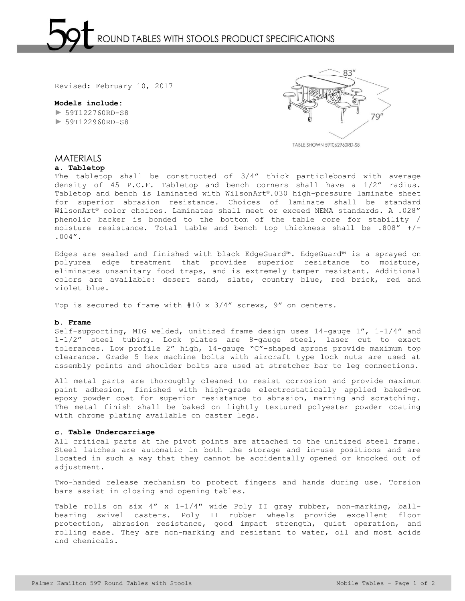## **Models include:**  ► 59T122760RD-S8 ► 59T122960RD-S8



TABLE SHOWN 59T062960RD-S8

# **MATERIALS**

## **a. Tabletop**

The tabletop shall be constructed of 3/4" thick particleboard with average density of 45 P.C.F. Tabletop and bench corners shall have a 1/2" radius. Tabletop and bench is laminated with WilsonArt®.030 high-pressure laminate sheet for superior abrasion resistance. Choices of laminate shall be standard WilsonArt® color choices. Laminates shall meet or exceed NEMA standards. A .028" phenolic backer is bonded to the bottom of the table core for stability / moisture resistance. Total table and bench top thickness shall be .808" +/- .004".

Edges are sealed and finished with black EdgeGuard™. EdgeGuard™ is a sprayed on polyurea edge treatment that provides superior resistance to moisture, eliminates unsanitary food traps, and is extremely tamper resistant. Additional colors are available: desert sand, slate, country blue, red brick, red and violet blue.

Top is secured to frame with  $#10 \times 3/4''$  screws, 9" on centers.

#### **b. Frame**

Self-supporting, MIG welded, unitized frame design uses 14-gauge 1", 1-1/4" and 1-1/2" steel tubing. Lock plates are 8-gauge steel, laser cut to exact tolerances. Low profile 2" high, 14-gauge "C"-shaped aprons provide maximum top clearance. Grade 5 hex machine bolts with aircraft type lock nuts are used at assembly points and shoulder bolts are used at stretcher bar to leg connections.

All metal parts are thoroughly cleaned to resist corrosion and provide maximum paint adhesion, finished with high-grade electrostatically applied baked-on epoxy powder coat for superior resistance to abrasion, marring and scratching. The metal finish shall be baked on lightly textured polyester powder coating with chrome plating available on caster legs.

#### **c. Table Undercarriage**

All critical parts at the pivot points are attached to the unitized steel frame. Steel latches are automatic in both the storage and in-use positions and are located in such a way that they cannot be accidentally opened or knocked out of adjustment.

Two-handed release mechanism to protect fingers and hands during use. Torsion bars assist in closing and opening tables.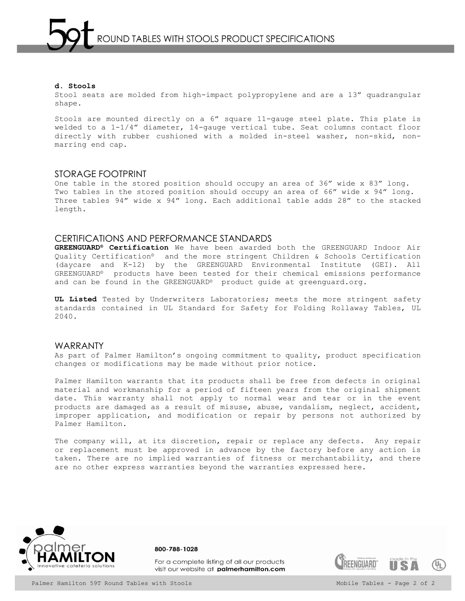Stool seats are molded from high-impact polypropylene and are a 13" quadrangular shape.

Stools are mounted directly on a 6" square 11-gauge steel plate. This plate is welded to a 1-1/4" diameter, 14-gauge vertical tube. Seat columns contact floor directly with rubber cushioned with a molded in-steel washer, non-skid, nonmarring end cap.

## STORAGE FOOTPRINT

One table in the stored position should occupy an area of 36" wide x 83" long. Two tables in the stored position should occupy an area of 66" wide x 94" long. Three tables 94" wide x 94" long. Each additional table adds 28" to the stacked length.

## CERTIFICATIONS AND PERFORMANCE STANDARDS

**GREENGUARD® Certification** We have been awarded both the GREENGUARD Indoor Air Quality Certification® and the more stringent Children & Schools Certification (daycare and K-12) by the GREENGUARD Environmental Institute (GEI). All GREENGUARD® products have been tested for their chemical emissions performance and can be found in the GREENGUARD® product guide at greenguard.org.

**UL Listed** Tested by Underwriters Laboratories; meets the more stringent safety standards contained in UL Standard for Safety for Folding Rollaway Tables, UL 2040.

## WARRANTY

As part of Palmer Hamilton's ongoing commitment to quality, product specification changes or modifications may be made without prior notice.

Palmer Hamilton warrants that its products shall be free from defects in original material and workmanship for a period of fifteen years from the original shipment date. This warranty shall not apply to normal wear and tear or in the event products are damaged as a result of misuse, abuse, vandalism, neglect, accident, improper application, and modification or repair by persons not authorized by Palmer Hamilton.

The company will, at its discretion, repair or replace any defects. Any repair or replacement must be approved in advance by the factory before any action is taken. There are no implied warranties of fitness or merchantability, and there are no other express warranties beyond the warranties expressed here.



800-788-1028

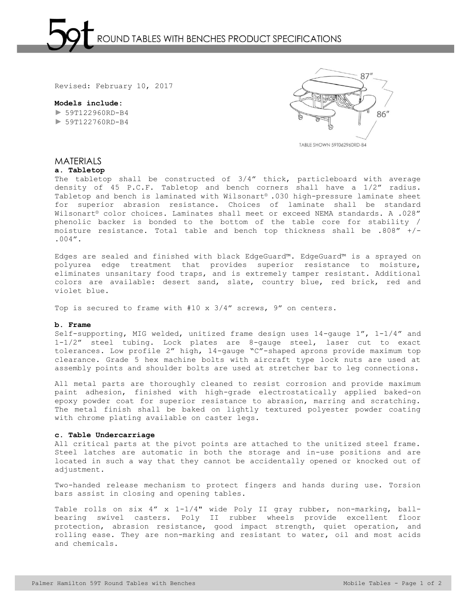# **Models include:**

► 59T122960RD-B4 ► 59T122760RD-B4



MATERIALS

## **a. Tabletop**

The tabletop shall be constructed of 3/4" thick, particleboard with average density of 45 P.C.F. Tabletop and bench corners shall have a 1/2" radius. Tabletop and bench is laminated with Wilsonart® .030 high-pressure laminate sheet for superior abrasion resistance. Choices of laminate shall be standard Wilsonart® color choices. Laminates shall meet or exceed NEMA standards. A .028" phenolic backer is bonded to the bottom of the table core for stability / moisture resistance. Total table and bench top thickness shall be .808" +/- .004".

Edges are sealed and finished with black EdgeGuard™. EdgeGuard™ is a sprayed on polyurea edge treatment that provides superior resistance to moisture, eliminates unsanitary food traps, and is extremely tamper resistant. Additional colors are available: desert sand, slate, country blue, red brick, red and violet blue.

Top is secured to frame with #10 x 3/4" screws, 9" on centers.

#### **b. Frame**

Self-supporting, MIG welded, unitized frame design uses 14-gauge 1", 1-1/4" and 1-1/2" steel tubing. Lock plates are 8-gauge steel, laser cut to exact tolerances. Low profile 2" high, 14-gauge "C"-shaped aprons provide maximum top clearance. Grade 5 hex machine bolts with aircraft type lock nuts are used at assembly points and shoulder bolts are used at stretcher bar to leg connections.

All metal parts are thoroughly cleaned to resist corrosion and provide maximum paint adhesion, finished with high-grade electrostatically applied baked-on epoxy powder coat for superior resistance to abrasion, marring and scratching. The metal finish shall be baked on lightly textured polyester powder coating with chrome plating available on caster legs.

## **c. Table Undercarriage**

All critical parts at the pivot points are attached to the unitized steel frame. Steel latches are automatic in both the storage and in-use positions and are located in such a way that they cannot be accidentally opened or knocked out of adjustment.

Two-handed release mechanism to protect fingers and hands during use. Torsion bars assist in closing and opening tables.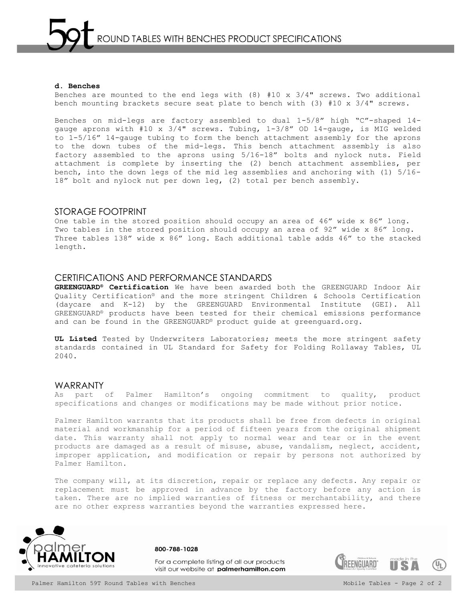#### **d. Benches**

Benches are mounted to the end legs with  $(8)$  #10 x 3/4" screws. Two additional bench mounting brackets secure seat plate to bench with (3) #10 x 3/4" screws.

Benches on mid-legs are factory assembled to dual 1-5/8" high "C"-shaped 14 gauge aprons with #10 x 3/4" screws. Tubing, 1-3/8" OD 14-gauge, is MIG welded to 1-5/16" 14-gauge tubing to form the bench attachment assembly for the aprons to the down tubes of the mid-legs. This bench attachment assembly is also factory assembled to the aprons using 5/16-18" bolts and nylock nuts. Field attachment is complete by inserting the (2) bench attachment assemblies, per bench, into the down legs of the mid leg assemblies and anchoring with (1) 5/16- 18" bolt and nylock nut per down leg, (2) total per bench assembly.

## STORAGE FOOTPRINT

One table in the stored position should occupy an area of 46" wide x 86" long. Two tables in the stored position should occupy an area of 92" wide x 86" long. Three tables 138" wide x 86" long. Each additional table adds 46" to the stacked length.

## CERTIFICATIONS AND PERFORMANCE STANDARDS

**GREENGUARD® Certification** We have been awarded both the GREENGUARD Indoor Air Quality Certification® and the more stringent Children & Schools Certification (daycare and K-12) by the GREENGUARD Environmental Institute (GEI). All GREENGUARD® products have been tested for their chemical emissions performance and can be found in the GREENGUARD® product guide at greenguard.org.

**UL Listed** Tested by Underwriters Laboratories; meets the more stringent safety standards contained in UL Standard for Safety for Folding Rollaway Tables, UL 2040.

## WARRANTY

As part of Palmer Hamilton's ongoing commitment to quality, product specifications and changes or modifications may be made without prior notice.

Palmer Hamilton warrants that its products shall be free from defects in original material and workmanship for a period of fifteen years from the original shipment date. This warranty shall not apply to normal wear and tear or in the event products are damaged as a result of misuse, abuse, vandalism, neglect, accident, improper application, and modification or repair by persons not authorized by Palmer Hamilton.

The company will, at its discretion, repair or replace any defects. Any repair or replacement must be approved in advance by the factory before any action is taken. There are no implied warranties of fitness or merchantability, and there are no other express warranties beyond the warranties expressed here.



800-788-1028

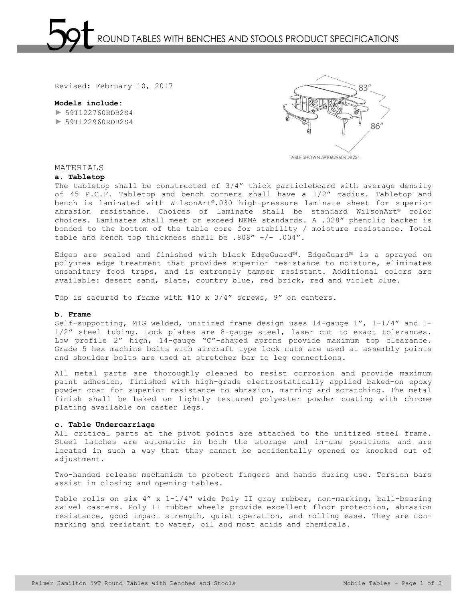## **Models include:**

► 59T122760RDB2S4 ► 59T122960RDB2S4



TABLE SHOWN 59T062960RDB2S4

## MATERIALS

## **a. Tabletop**

The tabletop shall be constructed of 3/4" thick particleboard with average density of 45 P.C.F. Tabletop and bench corners shall have a 1/2" radius. Tabletop and bench is laminated with WilsonArt®.030 high-pressure laminate sheet for superior abrasion resistance. Choices of laminate shall be standard WilsonArt® color choices. Laminates shall meet or exceed NEMA standards. A .028" phenolic backer is bonded to the bottom of the table core for stability / moisture resistance. Total table and bench top thickness shall be .808" +/- .004".

Edges are sealed and finished with black EdgeGuard™. EdgeGuard™ is a sprayed on polyurea edge treatment that provides superior resistance to moisture, eliminates unsanitary food traps, and is extremely tamper resistant. Additional colors are available: desert sand, slate, country blue, red brick, red and violet blue.

Top is secured to frame with #10 x  $3/4''$  screws, 9" on centers.

#### **b. Frame**

Self-supporting, MIG welded, unitized frame design uses 14-gauge 1", 1-1/4" and 1- 1/2" steel tubing. Lock plates are 8-gauge steel, laser cut to exact tolerances. Low profile 2" high, 14-gauge "C"-shaped aprons provide maximum top clearance. Grade 5 hex machine bolts with aircraft type lock nuts are used at assembly points and shoulder bolts are used at stretcher bar to leg connections.

All metal parts are thoroughly cleaned to resist corrosion and provide maximum paint adhesion, finished with high-grade electrostatically applied baked-on epoxy powder coat for superior resistance to abrasion, marring and scratching. The metal finish shall be baked on lightly textured polyester powder coating with chrome plating available on caster legs.

## **c. Table Undercarriage**

All critical parts at the pivot points are attached to the unitized steel frame. Steel latches are automatic in both the storage and in-use positions and are located in such a way that they cannot be accidentally opened or knocked out of adjustment.

Two-handed release mechanism to protect fingers and hands during use. Torsion bars assist in closing and opening tables.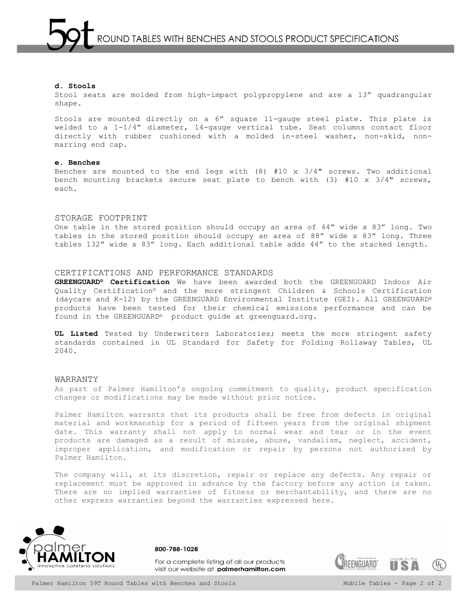Stool seats are molded from high-impact polypropylene and are a 13" quadrangular shape.

Stools are mounted directly on a 6" square 11-gauge steel plate. This plate is welded to a 1-1/4" diameter, 14-gauge vertical tube. Seat columns contact floor directly with rubber cushioned with a molded in-steel washer, non-skid, nonmarring end cap.

#### **e. Benches**

Benches are mounted to the end legs with (8) #10 x 3/4" screws. Two additional bench mounting brackets secure seat plate to bench with  $(3)$  #10 x 3/4" screws, each.

## STORAGE FOOTPRINT

One table in the stored position should occupy an area of 44" wide x 83" long. Two tables in the stored position should occupy an area of 88" wide x 83" long. Three tables 132" wide x 83" long. Each additional table adds 44" to the stacked length.

#### CERTIFICATIONS AND PERFORMANCE STANDARDS

**GREENGUARD® Certification** We have been awarded both the GREENGUARD Indoor Air Quality Certification® and the more stringent Children & Schools Certification (daycare and K-12) by the GREENGUARD Environmental Institute (GEI). All GREENGUARD® products have been tested for their chemical emissions performance and can be found in the GREENGUARD® product guide at greenguard.org.

**UL Listed** Tested by Underwriters Laboratories; meets the more stringent safety standards contained in UL Standard for Safety for Folding Rollaway Tables, UL 2040.

#### WARRANTY

As part of Palmer Hamilton's ongoing commitment to quality, product specification changes or modifications may be made without prior notice.

Palmer Hamilton warrants that its products shall be free from defects in original material and workmanship for a period of fifteen years from the original shipment date. This warranty shall not apply to normal wear and tear or in the event products are damaged as a result of misuse, abuse, vandalism, neglect, accident, improper application, and modification or repair by persons not authorized by Palmer Hamilton.

The company will, at its discretion, repair or replace any defects. Any repair or replacement must be approved in advance by the factory before any action is taken. There are no implied warranties of fitness or merchantability, and there are no other express warranties beyond the warranties expressed here.



For a complete listing of all our products visit our website at palmerhamilton.com

800-788-1028

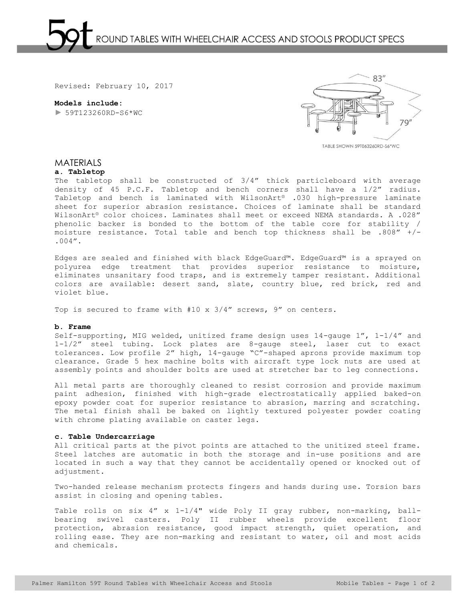**Models include:**  ► 59T123260RD-S6\*WC



TABLE SHOWN 59T063260RD-S6\*WC

## MATERIALS

## **a. Tabletop**

The tabletop shall be constructed of 3/4" thick particleboard with average density of 45 P.C.F. Tabletop and bench corners shall have a 1/2" radius. Tabletop and bench is laminated with WilsonArt® .030 high-pressure laminate sheet for superior abrasion resistance. Choices of laminate shall be standard WilsonArt® color choices. Laminates shall meet or exceed NEMA standards. A .028" phenolic backer is bonded to the bottom of the table core for stability / moisture resistance. Total table and bench top thickness shall be .808" +/- .004".

Edges are sealed and finished with black EdgeGuard™. EdgeGuard™ is a sprayed on polyurea edge treatment that provides superior resistance to moisture, eliminates unsanitary food traps, and is extremely tamper resistant. Additional colors are available: desert sand, slate, country blue, red brick, red and violet blue.

Top is secured to frame with #10 x 3/4" screws, 9" on centers.

## **b. Frame**

Self-supporting, MIG welded, unitized frame design uses 14-gauge 1", 1-1/4" and 1-1/2" steel tubing. Lock plates are 8-gauge steel, laser cut to exact tolerances. Low profile 2" high, 14-gauge "C"-shaped aprons provide maximum top clearance. Grade 5 hex machine bolts with aircraft type lock nuts are used at assembly points and shoulder bolts are used at stretcher bar to leg connections.

All metal parts are thoroughly cleaned to resist corrosion and provide maximum paint adhesion, finished with high-grade electrostatically applied baked-on epoxy powder coat for superior resistance to abrasion, marring and scratching. The metal finish shall be baked on lightly textured polyester powder coating with chrome plating available on caster legs.

#### **c. Table Undercarriage**

All critical parts at the pivot points are attached to the unitized steel frame. Steel latches are automatic in both the storage and in-use positions and are located in such a way that they cannot be accidentally opened or knocked out of adjustment.

Two-handed release mechanism protects fingers and hands during use. Torsion bars assist in closing and opening tables.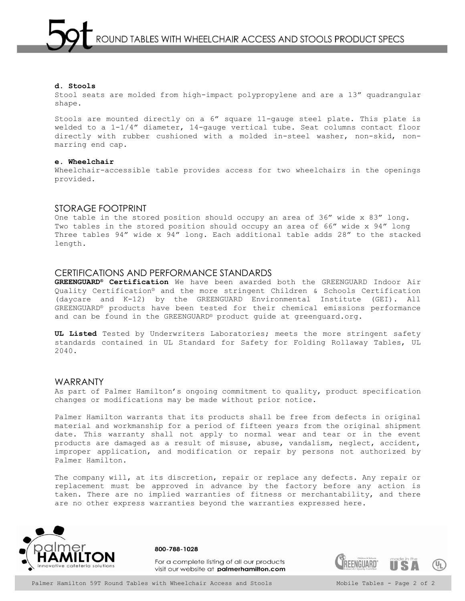Stool seats are molded from high-impact polypropylene and are a 13" quadrangular shape.

Stools are mounted directly on a 6" square 11-gauge steel plate. This plate is welded to a 1-1/4" diameter, 14-gauge vertical tube. Seat columns contact floor directly with rubber cushioned with a molded in-steel washer, non-skid, nonmarring end cap.

#### **e. Wheelchair**

Wheelchair-accessible table provides access for two wheelchairs in the openings provided.

## STORAGE FOOTPRINT

One table in the stored position should occupy an area of 36" wide x 83" long. Two tables in the stored position should occupy an area of 66" wide x 94" long Three tables 94" wide x 94" long. Each additional table adds 28" to the stacked length.

## CERTIFICATIONS AND PERFORMANCE STANDARDS

**GREENGUARD® Certification** We have been awarded both the GREENGUARD Indoor Air Quality Certification® and the more stringent Children & Schools Certification (daycare and K-12) by the GREENGUARD Environmental Institute (GEI). All GREENGUARD® products have been tested for their chemical emissions performance and can be found in the GREENGUARD® product guide at greenguard.org.

**UL Listed** Tested by Underwriters Laboratories; meets the more stringent safety standards contained in UL Standard for Safety for Folding Rollaway Tables, UL 2040.

## WARRANTY

As part of Palmer Hamilton's ongoing commitment to quality, product specification changes or modifications may be made without prior notice.

Palmer Hamilton warrants that its products shall be free from defects in original material and workmanship for a period of fifteen years from the original shipment date. This warranty shall not apply to normal wear and tear or in the event products are damaged as a result of misuse, abuse, vandalism, neglect, accident, improper application, and modification or repair by persons not authorized by Palmer Hamilton.

The company will, at its discretion, repair or replace any defects. Any repair or replacement must be approved in advance by the factory before any action is taken. There are no implied warranties of fitness or merchantability, and there are no other express warranties beyond the warranties expressed here.



800-788-1028

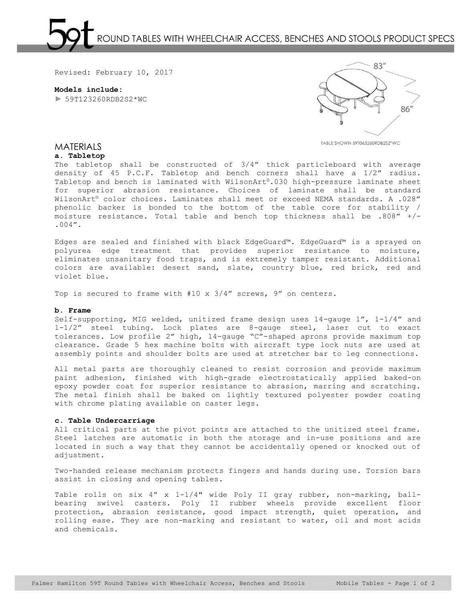OUND TABLES WITH WHEELCHAIR ACCESS, BENCHES AND STOOLS PRODUCT SPECS

Revised: February 10, 2017

**Models include:**   $\blacktriangleright$  59T123260RDB2S2\*WC



TABLE SHOWN 59T063260RDB2S2\*WC

## **MATERIALS**

## **a. Tabletop**

The tabletop shall be constructed of 3/4" thick particleboard with average density of 45 P.C.F. Tabletop and bench corners shall have a 1/2" radius. Tabletop and bench is laminated with WilsonArt®.030 high-pressure laminate sheet for superior abrasion resistance. Choices of laminate shall be standard WilsonArt® color choices. Laminates shall meet or exceed NEMA standards. A .028" phenolic backer is bonded to the bottom of the table core for stability / moisture resistance. Total table and bench top thickness shall be .808" +/- .004".

Edges are sealed and finished with black EdgeGuard™. EdgeGuard™ is a sprayed on polyurea edge treatment that provides superior resistance to moisture, eliminates unsanitary food traps, and is extremely tamper resistant. Additional colors are available: desert sand, slate, country blue, red brick, red and violet blue.

Top is secured to frame with #10 x 3/4" screws, 9" on centers.

#### **b. Frame**

Self-supporting, MIG welded, unitized frame design uses 14-gauge 1", 1-1/4" and 1-1/2" steel tubing. Lock plates are 8-gauge steel, laser cut to exact tolerances. Low profile 2" high, 14-gauge "C"-shaped aprons provide maximum top clearance. Grade 5 hex machine bolts with aircraft type lock nuts are used at assembly points and shoulder bolts are used at stretcher bar to leg connections.

All metal parts are thoroughly cleaned to resist corrosion and provide maximum paint adhesion, finished with high-grade electrostatically applied baked-on epoxy powder coat for superior resistance to abrasion, marring and scratching. The metal finish shall be baked on lightly textured polyester powder coating with chrome plating available on caster legs.

## **c. Table Undercarriage**

All critical parts at the pivot points are attached to the unitized steel frame. Steel latches are automatic in both the storage and in-use positions and are located in such a way that they cannot be accidentally opened or knocked out of adjustment.

Two-handed release mechanism protects fingers and hands during use. Torsion bars assist in closing and opening tables.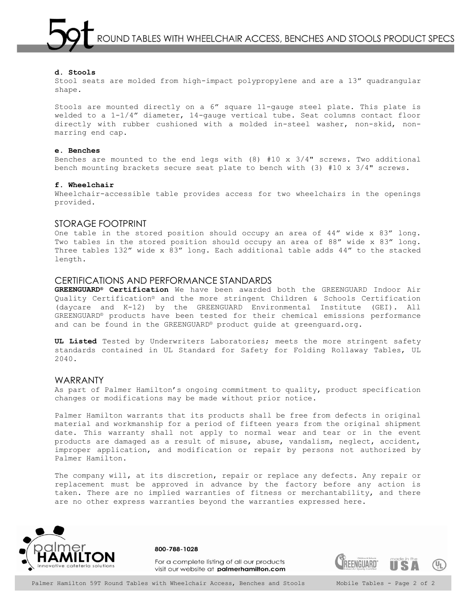ROUND TABLES WITH WHEELCHAIR ACCESS, BENCHES AND STOOLS PRODUCT SPECS

## **d. Stools**

Stool seats are molded from high-impact polypropylene and are a 13" quadrangular shape.

Stools are mounted directly on a 6" square 11-gauge steel plate. This plate is welded to a 1-1/4" diameter, 14-gauge vertical tube. Seat columns contact floor directly with rubber cushioned with a molded in-steel washer, non-skid, nonmarring end cap.

#### **e. Benches**

Benches are mounted to the end legs with  $(8)$  #10 x 3/4" screws. Two additional bench mounting brackets secure seat plate to bench with (3) #10 x 3/4" screws.

#### **f. Wheelchair**

Wheelchair-accessible table provides access for two wheelchairs in the openings provided.

## STORAGE FOOTPRINT

One table in the stored position should occupy an area of 44" wide x 83" long. Two tables in the stored position should occupy an area of 88" wide x 83" long. Three tables 132" wide x 83" long. Each additional table adds 44" to the stacked length.

## CERTIFICATIONS AND PERFORMANCE STANDARDS

**GREENGUARD® Certification** We have been awarded both the GREENGUARD Indoor Air Quality Certification® and the more stringent Children & Schools Certification (daycare and K-12) by the GREENGUARD Environmental Institute (GEI). All GREENGUARD® products have been tested for their chemical emissions performance and can be found in the GREENGUARD® product guide at greenguard.org.

**UL Listed** Tested by Underwriters Laboratories; meets the more stringent safety standards contained in UL Standard for Safety for Folding Rollaway Tables, UL 2040.

## WARRANTY

As part of Palmer Hamilton's ongoing commitment to quality, product specification changes or modifications may be made without prior notice.

Palmer Hamilton warrants that its products shall be free from defects in original material and workmanship for a period of fifteen years from the original shipment date. This warranty shall not apply to normal wear and tear or in the event products are damaged as a result of misuse, abuse, vandalism, neglect, accident, improper application, and modification or repair by persons not authorized by Palmer Hamilton.

The company will, at its discretion, repair or replace any defects. Any repair or replacement must be approved in advance by the factory before any action is taken. There are no implied warranties of fitness or merchantability, and there are no other express warranties beyond the warranties expressed here.



800-788-1028

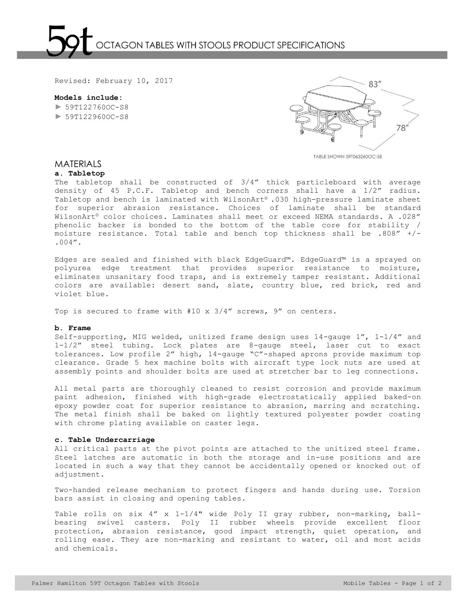

**Models include:**  ► 59T122760OC-S8 ► 59T122960OC-S8



TABLE SHOWN 59T063260OC-S8

## MATERIALS

#### **a. Tabletop**

The tabletop shall be constructed of 3/4" thick particleboard with average density of 45 P.C.F. Tabletop and bench corners shall have a 1/2" radius. Tabletop and bench is laminated with WilsonArt® .030 high-pressure laminate sheet for superior abrasion resistance. Choices of laminate shall be standard WilsonArt® color choices. Laminates shall meet or exceed NEMA standards. A .028" phenolic backer is bonded to the bottom of the table core for stability / moisture resistance. Total table and bench top thickness shall be .808" +/- .004".

Edges are sealed and finished with black EdgeGuard™. EdgeGuard™ is a sprayed on polyurea edge treatment that provides superior resistance to moisture, eliminates unsanitary food traps, and is extremely tamper resistant. Additional colors are available: desert sand, slate, country blue, red brick, red and violet blue.

Top is secured to frame with #10 x 3/4" screws, 9" on centers.

#### **b. Frame**

Self-supporting, MIG welded, unitized frame design uses 14-gauge 1", 1-1/4" and 1-1/2" steel tubing. Lock plates are 8-gauge steel, laser cut to exact tolerances. Low profile 2" high, 14-gauge "C"-shaped aprons provide maximum top clearance. Grade 5 hex machine bolts with aircraft type lock nuts are used at assembly points and shoulder bolts are used at stretcher bar to leg connections.

All metal parts are thoroughly cleaned to resist corrosion and provide maximum paint adhesion, finished with high-grade electrostatically applied baked-on epoxy powder coat for superior resistance to abrasion, marring and scratching. The metal finish shall be baked on lightly textured polyester powder coating with chrome plating available on caster legs.

#### **c. Table Undercarriage**

All critical parts at the pivot points are attached to the unitized steel frame. Steel latches are automatic in both the storage and in-use positions and are located in such a way that they cannot be accidentally opened or knocked out of adjustment.

Two-handed release mechanism to protect fingers and hands during use. Torsion bars assist in closing and opening tables.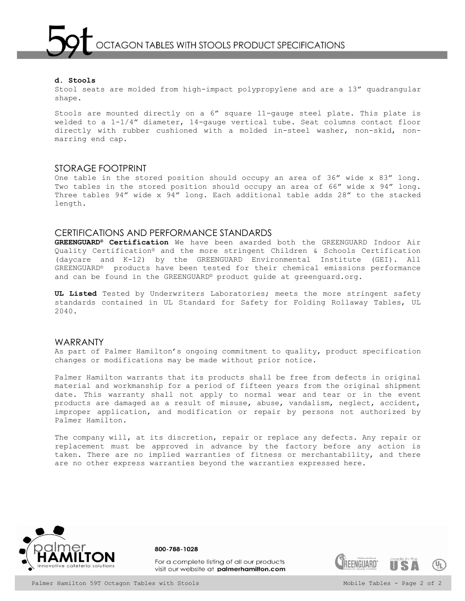Stool seats are molded from high-impact polypropylene and are a 13" quadrangular shape.

Stools are mounted directly on a 6" square 11-gauge steel plate. This plate is welded to a 1-1/4" diameter, 14-gauge vertical tube. Seat columns contact floor directly with rubber cushioned with a molded in-steel washer, non-skid, nonmarring end cap.

## STORAGE FOOTPRINT

One table in the stored position should occupy an area of 36" wide x 83" long. Two tables in the stored position should occupy an area of 66" wide x 94" long. Three tables 94" wide x 94" long. Each additional table adds 28" to the stacked length.

## CERTIFICATIONS AND PERFORMANCE STANDARDS

**GREENGUARD® Certification** We have been awarded both the GREENGUARD Indoor Air Quality Certification® and the more stringent Children & Schools Certification (daycare and K-12) by the GREENGUARD Environmental Institute (GEI). All GREENGUARD® products have been tested for their chemical emissions performance and can be found in the GREENGUARD® product guide at greenguard.org.

**UL Listed** Tested by Underwriters Laboratories; meets the more stringent safety standards contained in UL Standard for Safety for Folding Rollaway Tables, UL 2040.

## WARRANTY

As part of Palmer Hamilton's ongoing commitment to quality, product specification changes or modifications may be made without prior notice.

Palmer Hamilton warrants that its products shall be free from defects in original material and workmanship for a period of fifteen years from the original shipment date. This warranty shall not apply to normal wear and tear or in the event products are damaged as a result of misuse, abuse, vandalism, neglect, accident, improper application, and modification or repair by persons not authorized by Palmer Hamilton.

The company will, at its discretion, repair or replace any defects. Any repair or replacement must be approved in advance by the factory before any action is taken. There are no implied warranties of fitness or merchantability, and there are no other express warranties beyond the warranties expressed here.



800-788-1028

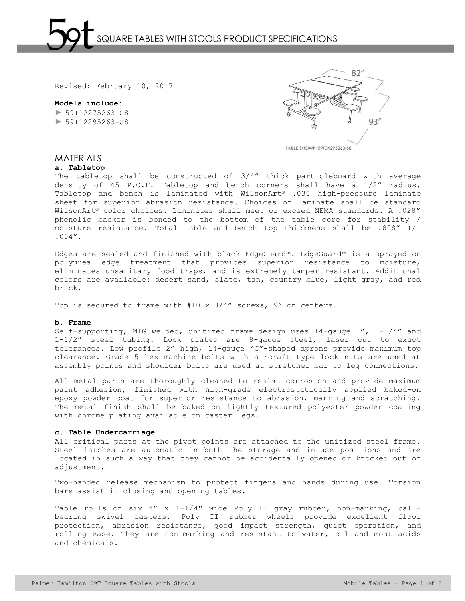

## **Models include:**  ► 59T12275263-S8 ► 59T12295263-S8



**MATERIALS** 

#### **a. Tabletop**

The tabletop shall be constructed of 3/4" thick particleboard with average density of 45 P.C.F. Tabletop and bench corners shall have a 1/2" radius. Tabletop and bench is laminated with WilsonArt® .030 high-pressure laminate sheet for superior abrasion resistance. Choices of laminate shall be standard WilsonArt® color choices. Laminates shall meet or exceed NEMA standards. A .028" phenolic backer is bonded to the bottom of the table core for stability / moisture resistance. Total table and bench top thickness shall be .808" +/- .004".

Edges are sealed and finished with black EdgeGuard™. EdgeGuard™ is a sprayed on polyurea edge treatment that provides superior resistance to moisture, eliminates unsanitary food traps, and is extremely tamper resistant. Additional colors are available: desert sand, slate, tan, country blue, light gray, and red brick.

Top is secured to frame with #10 x 3/4" screws, 9" on centers.

#### **b. Frame**

Self-supporting, MIG welded, unitized frame design uses 14-gauge 1", 1-1/4" and 1-1/2" steel tubing. Lock plates are 8-gauge steel, laser cut to exact tolerances. Low profile 2" high, 14-gauge "C"-shaped aprons provide maximum top clearance. Grade 5 hex machine bolts with aircraft type lock nuts are used at assembly points and shoulder bolts are used at stretcher bar to leg connections.

All metal parts are thoroughly cleaned to resist corrosion and provide maximum paint adhesion, finished with high-grade electrostatically applied baked-on epoxy powder coat for superior resistance to abrasion, marring and scratching. The metal finish shall be baked on lightly textured polyester powder coating with chrome plating available on caster legs.

#### **c. Table Undercarriage**

All critical parts at the pivot points are attached to the unitized steel frame. Steel latches are automatic in both the storage and in-use positions and are located in such a way that they cannot be accidentally opened or knocked out of adjustment.

Two-handed release mechanism to protect fingers and hands during use. Torsion bars assist in closing and opening tables.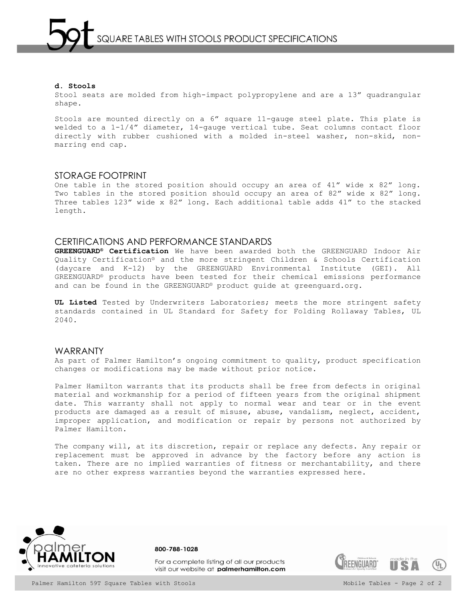Stool seats are molded from high-impact polypropylene and are a 13" quadrangular shape.

Stools are mounted directly on a 6" square 11-gauge steel plate. This plate is welded to a 1-1/4" diameter, 14-gauge vertical tube. Seat columns contact floor directly with rubber cushioned with a molded in-steel washer, non-skid, nonmarring end cap.

## STORAGE FOOTPRINT

One table in the stored position should occupy an area of 41" wide x 82" long. Two tables in the stored position should occupy an area of 82" wide x 82" long. Three tables 123" wide x 82" long. Each additional table adds 41" to the stacked length.

## CERTIFICATIONS AND PERFORMANCE STANDARDS

**GREENGUARD® Certification** We have been awarded both the GREENGUARD Indoor Air Quality Certification® and the more stringent Children & Schools Certification (daycare and K-12) by the GREENGUARD Environmental Institute (GEI). All GREENGUARD® products have been tested for their chemical emissions performance and can be found in the GREENGUARD® product guide at greenguard.org.

**UL Listed** Tested by Underwriters Laboratories; meets the more stringent safety standards contained in UL Standard for Safety for Folding Rollaway Tables, UL 2040.

## WARRANTY

As part of Palmer Hamilton's ongoing commitment to quality, product specification changes or modifications may be made without prior notice.

Palmer Hamilton warrants that its products shall be free from defects in original material and workmanship for a period of fifteen years from the original shipment date. This warranty shall not apply to normal wear and tear or in the event products are damaged as a result of misuse, abuse, vandalism, neglect, accident, improper application, and modification or repair by persons not authorized by Palmer Hamilton.

The company will, at its discretion, repair or replace any defects. Any repair or replacement must be approved in advance by the factory before any action is taken. There are no implied warranties of fitness or merchantability, and there are no other express warranties beyond the warranties expressed here.



800-788-1028

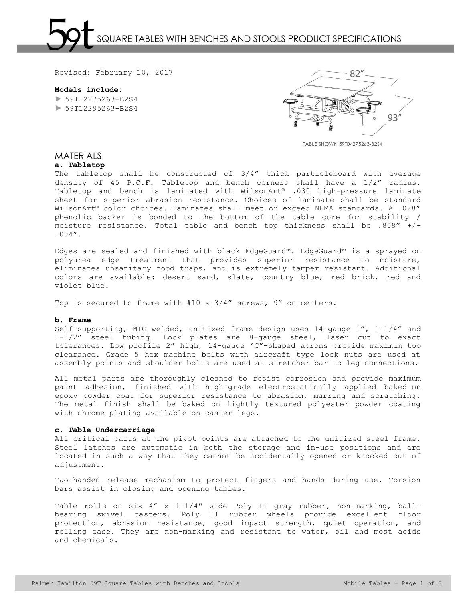QUARE TABLES WITH BENCHES AND STOOLS PRODUCT SPECIFICATIONS

Revised: February 10, 2017

**Models include:** 

 $\blacktriangleright$  59T12275263-B2S4 ► 59T12295263-B2S4



TABLE SHOWN 59T04275263-B2S4

# MATERIALS

# **a. Tabletop**

The tabletop shall be constructed of 3/4" thick particleboard with average density of 45 P.C.F. Tabletop and bench corners shall have a 1/2" radius. Tabletop and bench is laminated with WilsonArt® .030 high-pressure laminate sheet for superior abrasion resistance. Choices of laminate shall be standard WilsonArt® color choices. Laminates shall meet or exceed NEMA standards. A .028" phenolic backer is bonded to the bottom of the table core for stability / moisture resistance. Total table and bench top thickness shall be .808" +/- .004".

Edges are sealed and finished with black EdgeGuard™. EdgeGuard™ is a sprayed on polyurea edge treatment that provides superior resistance to moisture, eliminates unsanitary food traps, and is extremely tamper resistant. Additional colors are available: desert sand, slate, country blue, red brick, red and violet blue.

Top is secured to frame with #10 x 3/4" screws, 9" on centers.

#### **b. Frame**

Self-supporting, MIG welded, unitized frame design uses 14-gauge 1", 1-1/4" and 1-1/2" steel tubing. Lock plates are 8-gauge steel, laser cut to exact tolerances. Low profile 2" high, 14-gauge "C"-shaped aprons provide maximum top clearance. Grade 5 hex machine bolts with aircraft type lock nuts are used at assembly points and shoulder bolts are used at stretcher bar to leg connections.

All metal parts are thoroughly cleaned to resist corrosion and provide maximum paint adhesion, finished with high-grade electrostatically applied baked-on epoxy powder coat for superior resistance to abrasion, marring and scratching. The metal finish shall be baked on lightly textured polyester powder coating with chrome plating available on caster legs.

## **c. Table Undercarriage**

All critical parts at the pivot points are attached to the unitized steel frame. Steel latches are automatic in both the storage and in-use positions and are located in such a way that they cannot be accidentally opened or knocked out of adjustment.

Two-handed release mechanism to protect fingers and hands during use. Torsion bars assist in closing and opening tables.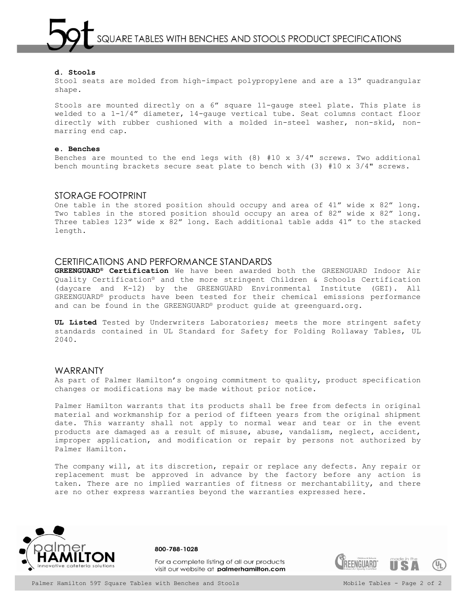SQUARE TABLES WITH BENCHES AND STOOLS PRODUCT SPECIFICATIONS

#### **d. Stools**

Stool seats are molded from high-impact polypropylene and are a 13" quadrangular shape.

Stools are mounted directly on a 6" square 11-gauge steel plate. This plate is welded to a 1-1/4" diameter, 14-gauge vertical tube. Seat columns contact floor directly with rubber cushioned with a molded in-steel washer, non-skid, nonmarring end cap.

#### **e. Benches**

Benches are mounted to the end legs with  $(8)$  #10 x 3/4" screws. Two additional bench mounting brackets secure seat plate to bench with (3) #10 x 3/4" screws.

## STORAGE FOOTPRINT

One table in the stored position should occupy and area of 41" wide x 82" long. Two tables in the stored position should occupy an area of 82" wide x 82" long. Three tables 123" wide x 82" long. Each additional table adds 41" to the stacked length.

## CERTIFICATIONS AND PERFORMANCE STANDARDS

**GREENGUARD® Certification** We have been awarded both the GREENGUARD Indoor Air Quality Certification® and the more stringent Children & Schools Certification (daycare and K-12) by the GREENGUARD Environmental Institute (GEI). All GREENGUARD® products have been tested for their chemical emissions performance and can be found in the GREENGUARD® product guide at greenguard.org.

**UL Listed** Tested by Underwriters Laboratories; meets the more stringent safety standards contained in UL Standard for Safety for Folding Rollaway Tables, UL 2040.

## WARRANTY

As part of Palmer Hamilton's ongoing commitment to quality, product specification changes or modifications may be made without prior notice.

Palmer Hamilton warrants that its products shall be free from defects in original material and workmanship for a period of fifteen years from the original shipment date. This warranty shall not apply to normal wear and tear or in the event products are damaged as a result of misuse, abuse, vandalism, neglect, accident, improper application, and modification or repair by persons not authorized by Palmer Hamilton.

The company will, at its discretion, repair or replace any defects. Any repair or replacement must be approved in advance by the factory before any action is taken. There are no implied warranties of fitness or merchantability, and there are no other express warranties beyond the warranties expressed here.



For a complete listing of all our products visit our website at palmerhamilton.com

800-788-1028

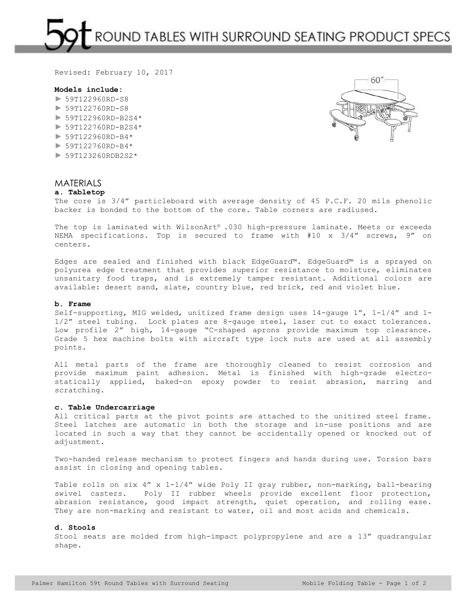ROUND TABLES WITH SURROUND SEATING PRODUCT SPECS

Revised: February 10, 2017

## **Models include:**

- ► 59T122960RD-S8
- ► 59T122760RD-S8
- ► 59T122960RD-B2S4\*
- ► 59T122760RD-B2S4\*
- $\blacktriangleright$  59T122960RD-B4\*
- ► 59T122760RD-B4\*
- ► 59T123260RDB2S2\*



# MATERIALS

## **a. Tabletop**

The core is 3/4" particleboard with average density of 45 P.C.F. 20 mils phenolic backer is bonded to the bottom of the core. Table corners are radiused.

The top is laminated with WilsonArt® .030 high-pressure laminate. Meets or exceeds NEMA specifications. Top is secured to frame with #10 x 3/4" screws, 9" on centers.

Edges are sealed and finished with black EdgeGuard™. EdgeGuard™ is a sprayed on polyurea edge treatment that provides superior resistance to moisture, eliminates unsanitary food traps, and is extremely tamper resistant. Additional colors are available: desert sand, slate, country blue, red brick, red and violet blue.

#### **b. Frame**

Self-supporting, MIG welded, unitized frame design uses 14-gauge 1", 1-1/4" and 1- 1/2" steel tubing. Lock plates are 8-gauge steel, laser cut to exact tolerances. Low profile 2" high, 14-gauge "C-shaped aprons provide maximum top clearance. Grade 5 hex machine bolts with aircraft type lock nuts are used at all assembly points.

All metal parts of the frame are thoroughly cleaned to resist corrosion and provide maximum paint adhesion. Metal is finished with high-grade electrostatically applied, baked-on epoxy powder to resist abrasion, marring and scratching.

#### **c. Table Undercarriage**

All critical parts at the pivot points are attached to the unitized steel frame. Steel latches are automatic in both the storage and in-use positions and are located in such a way that they cannot be accidentally opened or knocked out of adjustment.

Two-handed release mechanism to protect fingers and hands during use. Torsion bars assist in closing and opening tables.

Table rolls on six 4" x 1-1/4" wide Poly II gray rubber, non-marking, ball-bearing swivel casters. Poly II rubber wheels provide excellent floor protection, abrasion resistance, good impact strength, quiet operation, and rolling ease. They are non-marking and resistant to water, oil and most acids and chemicals.

#### **d. Stools**

Stool seats are molded from high-impact polypropylene and are a 13" quadrangular shape.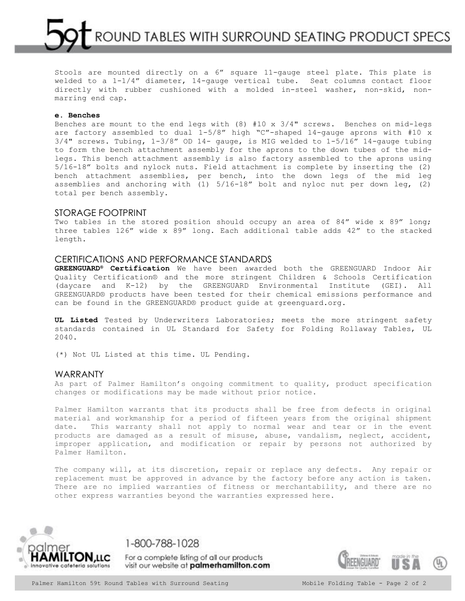ROUND TABLES WITH SURROUND SEATING PRODUCT SPECS

Stools are mounted directly on a 6" square 11-gauge steel plate. This plate is welded to a 1-1/4" diameter, 14-gauge vertical tube. Seat columns contact floor directly with rubber cushioned with a molded in-steel washer, non-skid, nonmarring end cap.

## **e. Benches**

Benches are mount to the end legs with  $(8)$  #10 x 3/4" screws. Benches on mid-legs are factory assembled to dual 1-5/8" high "C"-shaped 14-gauge aprons with #10 x  $3/4"$  screws. Tubing,  $1-3/8"$  OD  $14-$  gauge, is MIG welded to  $1-5/16"$  14-gauge tubing to form the bench attachment assembly for the aprons to the down tubes of the midlegs. This bench attachment assembly is also factory assembled to the aprons using 5/16-18" bolts and nylock nuts. Field attachment is complete by inserting the (2) bench attachment assemblies, per bench, into the down legs of the mid leg assemblies and anchoring with (1) 5/16-18" bolt and nyloc nut per down leg, (2) total per bench assembly.

#### STORAGE FOOTPRINT

Two tables in the stored position should occupy an area of 84" wide x 89" long; three tables 126" wide x 89" long. Each additional table adds 42" to the stacked length.

## CERTIFICATIONS AND PERFORMANCE STANDARDS

**GREENGUARD® Certification** We have been awarded both the GREENGUARD Indoor Air Quality Certification® and the more stringent Children & Schools Certification (daycare and K-12) by the GREENGUARD Environmental Institute (GEI). All GREENGUARD® products have been tested for their chemical emissions performance and can be found in the GREENGUARD® product guide at greenguard.org.

**UL Listed** Tested by Underwriters Laboratories; meets the more stringent safety standards contained in UL Standard for Safety for Folding Rollaway Tables, UL 2040.

(\*) Not UL Listed at this time. UL Pending.

## WARRANTY

As part of Palmer Hamilton's ongoing commitment to quality, product specification changes or modifications may be made without prior notice.

Palmer Hamilton warrants that its products shall be free from defects in original material and workmanship for a period of fifteen years from the original shipment date. This warranty shall not apply to normal wear and tear or in the event products are damaged as a result of misuse, abuse, vandalism, neglect, accident, improper application, and modification or repair by persons not authorized by Palmer Hamilton.

The company will, at its discretion, repair or replace any defects. Any repair or replacement must be approved in advance by the factory before any action is taken. There are no implied warranties of fitness or merchantability, and there are no other express warranties beyond the warranties expressed here.



1-800-788-1028

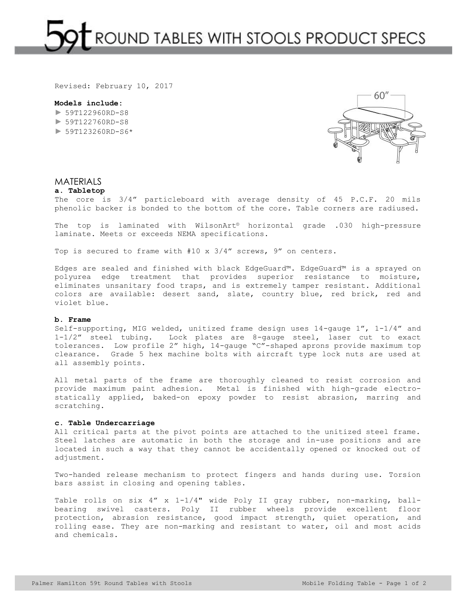ROUND TABLES WITH STOOLS PRODUCT SPECS

Revised: February 10, 2017

#### **Models include:**

► 59T122960RD-S8 ► 59T122760RD-S8  $\blacktriangleright$  59T123260RD-S6\*



## **MATERIALS**

## **a. Tabletop**

The core is 3/4" particleboard with average density of 45 P.C.F. 20 mils phenolic backer is bonded to the bottom of the core. Table corners are radiused.

The top is laminated with WilsonArt® horizontal grade .030 high-pressure laminate. Meets or exceeds NEMA specifications.

Top is secured to frame with #10 x 3/4" screws, 9" on centers.

Edges are sealed and finished with black EdgeGuard™. EdgeGuard™ is a sprayed on polyurea edge treatment that provides superior resistance to moisture, eliminates unsanitary food traps, and is extremely tamper resistant. Additional colors are available: desert sand, slate, country blue, red brick, red and violet blue.

#### **b. Frame**

Self-supporting, MIG welded, unitized frame design uses 14-gauge 1", 1-1/4" and 1-1/2" steel tubing. Lock plates are 8-gauge steel, laser cut to exact tolerances. Low profile 2" high, 14-gauge "C"-shaped aprons provide maximum top clearance. Grade 5 hex machine bolts with aircraft type lock nuts are used at all assembly points.

All metal parts of the frame are thoroughly cleaned to resist corrosion and provide maximum paint adhesion. Metal is finished with high-grade electrostatically applied, baked-on epoxy powder to resist abrasion, marring and scratching.

## **c. Table Undercarriage**

All critical parts at the pivot points are attached to the unitized steel frame. Steel latches are automatic in both the storage and in-use positions and are located in such a way that they cannot be accidentally opened or knocked out of adjustment.

Two-handed release mechanism to protect fingers and hands during use. Torsion bars assist in closing and opening tables.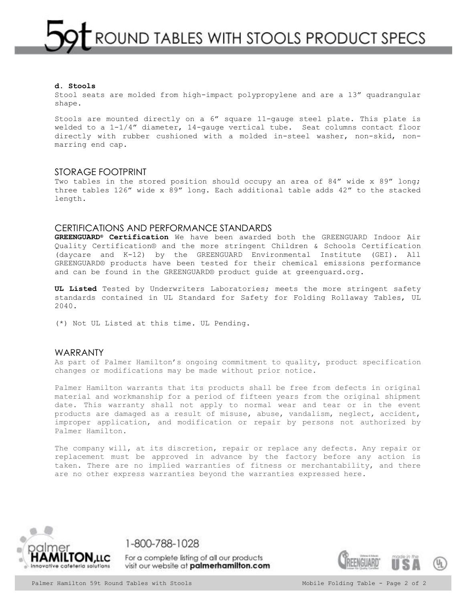Stool seats are molded from high-impact polypropylene and are a 13" quadrangular shape.

Stools are mounted directly on a 6" square 11-gauge steel plate. This plate is welded to a  $1-1/4$ " diameter,  $14$ -qauge vertical tube. Seat columns contact floor directly with rubber cushioned with a molded in-steel washer, non-skid, nonmarring end cap.

## STORAGE FOOTPRINT

Two tables in the stored position should occupy an area of 84" wide x 89" long; three tables 126" wide x 89" long. Each additional table adds 42" to the stacked length.

## CERTIFICATIONS AND PERFORMANCE STANDARDS

**GREENGUARD® Certification** We have been awarded both the GREENGUARD Indoor Air Quality Certification® and the more stringent Children & Schools Certification (daycare and K-12) by the GREENGUARD Environmental Institute (GEI). All GREENGUARD® products have been tested for their chemical emissions performance and can be found in the GREENGUARD® product guide at greenguard.org.

**UL Listed** Tested by Underwriters Laboratories; meets the more stringent safety standards contained in UL Standard for Safety for Folding Rollaway Tables, UL 2040.

(\*) Not UL Listed at this time. UL Pending.

## WARRANTY

As part of Palmer Hamilton's ongoing commitment to quality, product specification changes or modifications may be made without prior notice.

Palmer Hamilton warrants that its products shall be free from defects in original material and workmanship for a period of fifteen years from the original shipment date. This warranty shall not apply to normal wear and tear or in the event products are damaged as a result of misuse, abuse, vandalism, neglect, accident, improper application, and modification or repair by persons not authorized by Palmer Hamilton.

The company will, at its discretion, repair or replace any defects. Any repair or replacement must be approved in advance by the factory before any action is taken. There are no implied warranties of fitness or merchantability, and there are no other express warranties beyond the warranties expressed here.



1-800-788-1028

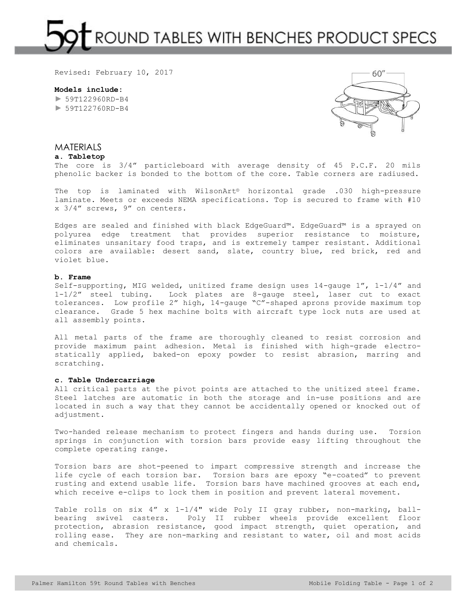# ROUND TABLES WITH BENCHES PRODUCT SPECS

Revised: February 10, 2017

**Models include:**   $\blacktriangleright$  59T122960RD-B4 ► 59T122760RD-B4



# MATERIALS

**a. Tabletop**

The core is 3/4" particleboard with average density of 45 P.C.F. 20 mils phenolic backer is bonded to the bottom of the core. Table corners are radiused.

The top is laminated with WilsonArt® horizontal grade .030 high-pressure laminate. Meets or exceeds NEMA specifications. Top is secured to frame with #10 x 3/4" screws, 9" on centers.

Edges are sealed and finished with black EdgeGuard™. EdgeGuard™ is a sprayed on polyurea edge treatment that provides superior resistance to moisture, eliminates unsanitary food traps, and is extremely tamper resistant. Additional colors are available: desert sand, slate, country blue, red brick, red and violet blue.

#### **b. Frame**

Self-supporting, MIG welded, unitized frame design uses 14-gauge 1", 1-1/4" and 1-1/2" steel tubing. Lock plates are 8-gauge steel, laser cut to exact tolerances. Low profile 2" high, 14-gauge "C"-shaped aprons provide maximum top clearance. Grade 5 hex machine bolts with aircraft type lock nuts are used at all assembly points.

All metal parts of the frame are thoroughly cleaned to resist corrosion and provide maximum paint adhesion. Metal is finished with high-grade electrostatically applied, baked-on epoxy powder to resist abrasion, marring and scratching.

## **c. Table Undercarriage**

All critical parts at the pivot points are attached to the unitized steel frame. Steel latches are automatic in both the storage and in-use positions and are located in such a way that they cannot be accidentally opened or knocked out of adjustment.

Two-handed release mechanism to protect fingers and hands during use. Torsion springs in conjunction with torsion bars provide easy lifting throughout the complete operating range.

Torsion bars are shot-peened to impart compressive strength and increase the life cycle of each torsion bar. Torsion bars are epoxy "e-coated" to prevent rusting and extend usable life. Torsion bars have machined grooves at each end, which receive e-clips to lock them in position and prevent lateral movement.